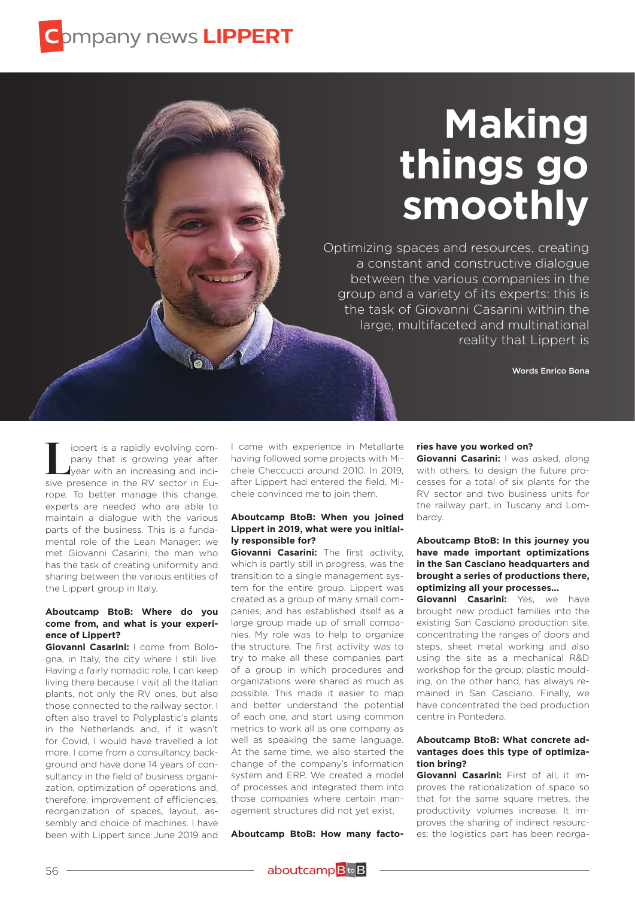# **Making things go smoothly**

Optimizing spaces and resources, creating a constant and constructive dialogue between the various companies in the group and a variety of its experts: this is the task of Giovanni Casarini within the large, multifaceted and multinational reality that Lippert is

Words Enrico Bona

ippert is a rapidly evolving company that is growing year after year with an increasing and incisive presence in the RV sector in Europe. To better manage this change, experts are needed who are able to maintain a dialogue with the various parts of the business. This is a fundamental role of the Lean Manager: we met Giovanni Casarini, the man who has the task of creating uniformity and sharing between the various entities of the Lippert group in Italy.

# **Aboutcamp BtoB: Where do you come from, and what is your experience of Lippert?**

**Giovanni Casarini:** I come from Bologna, in Italy, the city where I still live. Having a fairly nomadic role, I can keep living there because I visit all the Italian plants, not only the RV ones, but also those connected to the railway sector. I often also travel to Polyplastic's plants in the Netherlands and, if it wasn't for Covid, I would have travelled a lot more. I come from a consultancy background and have done 14 years of consultancy in the field of business organization, optimization of operations and, therefore, improvement of efficiencies, reorganization of spaces, layout, assembly and choice of machines. I have been with Lippert since June 2019 and

I came with experience in Metallarte having followed some projects with Michele Checcucci around 2010. In 2019, after Lippert had entered the field, Michele convinced me to join them.

#### **Aboutcamp BtoB: When you joined Lippert in 2019, what were you initially responsible for?**

**Giovanni Casarini:** The first activity, which is partly still in progress, was the transition to a single management system for the entire group. Lippert was created as a group of many small companies, and has established itself as a large group made up of small companies. My role was to help to organize the structure. The first activity was to try to make all these companies part of a group in which procedures and organizations were shared as much as possible. This made it easier to map and better understand the potential of each one, and start using common metrics to work all as one company as well as speaking the same language. At the same time, we also started the change of the company's information system and ERP. We created a model of processes and integrated them into those companies where certain management structures did not yet exist.

**Aboutcamp BtoB: How many facto-**

#### **ries have you worked on?**

**Giovanni Casarini:** I was asked, along with others, to design the future processes for a total of six plants for the RV sector and two business units for the railway part, in Tuscany and Lombardy.

# **Aboutcamp BtoB: In this journey you have made important optimizations in the San Casciano headquarters and brought a series of productions there, optimizing all your processes...**

**Giovanni Casarini:** Yes, we have brought new product families into the existing San Casciano production site, concentrating the ranges of doors and steps, sheet metal working and also using the site as a mechanical R&D workshop for the group; plastic moulding, on the other hand, has always remained in San Casciano. Finally, we have concentrated the bed production centre in Pontedera.

#### **Aboutcamp BtoB: What concrete advantages does this type of optimization bring?**

**Giovanni Casarini:** First of all, it improves the rationalization of space so that for the same square metres, the productivity volumes increase. It improves the sharing of indirect resources: the logistics part has been reorga-